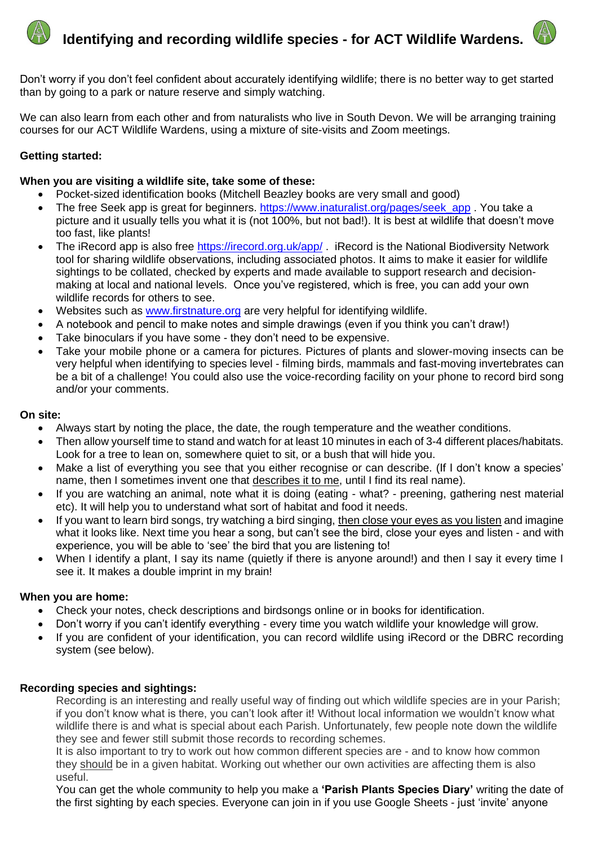



Don't worry if you don't feel confident about accurately identifying wildlife; there is no better way to get started than by going to a park or nature reserve and simply watching.

We can also learn from each other and from naturalists who live in South Devon. We will be arranging training courses for our ACT Wildlife Wardens, using a mixture of site-visits and Zoom meetings.

# **Getting started:**

## **When you are visiting a wildlife site, take some of these:**

- Pocket-sized identification books (Mitchell Beazley books are very small and good)
- The free Seek app is great for beginners. [https://www.inaturalist.org/pages/seek\\_app](https://www.inaturalist.org/pages/seek_app) . You take a picture and it usually tells you what it is (not 100%, but not bad!). It is best at wildlife that doesn't move too fast, like plants!
- The iRecord app is also free<https://irecord.org.uk/app/> . iRecord is the National Biodiversity Network tool for sharing wildlife observations, including associated photos. It aims to make it easier for wildlife sightings to be collated, checked by experts and made available to support research and decisionmaking at local and national levels. Once you've registered, which is free, you can add your own wildlife records for others to see.
- Websites such as [www.firstnature.org](http://www.firstnature.org/) are very helpful for identifying wildlife.
- A notebook and pencil to make notes and simple drawings (even if you think you can't draw!)
- Take binoculars if you have some they don't need to be expensive.
- Take your mobile phone or a camera for pictures. Pictures of plants and slower-moving insects can be very helpful when identifying to species level - filming birds, mammals and fast-moving invertebrates can be a bit of a challenge! You could also use the voice-recording facility on your phone to record bird song and/or your comments.

#### **On site:**

- Always start by noting the place, the date, the rough temperature and the weather conditions.
- Then allow yourself time to stand and watch for at least 10 minutes in each of 3-4 different places/habitats. Look for a tree to lean on, somewhere quiet to sit, or a bush that will hide you.
- Make a list of everything you see that you either recognise or can describe. (If I don't know a species' name, then I sometimes invent one that describes it to me, until I find its real name).
- If you are watching an animal, note what it is doing (eating what? preening, gathering nest material etc). It will help you to understand what sort of habitat and food it needs.
- If you want to learn bird songs, try watching a bird singing, then close your eyes as you listen and imagine what it looks like. Next time you hear a song, but can't see the bird, close your eyes and listen - and with experience, you will be able to 'see' the bird that you are listening to!
- When I identify a plant, I say its name (quietly if there is anyone around!) and then I say it every time I see it. It makes a double imprint in my brain!

#### **When you are home:**

- Check your notes, check descriptions and birdsongs online or in books for identification.
- Don't worry if you can't identify everything every time you watch wildlife your knowledge will grow.
- If you are confident of your identification, you can record wildlife using iRecord or the DBRC recording system (see below).

## **Recording species and sightings:**

Recording is an interesting and really useful way of finding out which wildlife species are in your Parish; if you don't know what is there, you can't look after it! Without local information we wouldn't know what wildlife there is and what is special about each Parish. Unfortunately, few people note down the wildlife they see and fewer still submit those records to recording schemes.

It is also important to try to work out how common different species are - and to know how common they should be in a given habitat. Working out whether our own activities are affecting them is also useful.

You can get the whole community to help you make a **'Parish Plants Species Diary'** writing the date of the first sighting by each species. Everyone can join in if you use Google Sheets - just 'invite' anyone